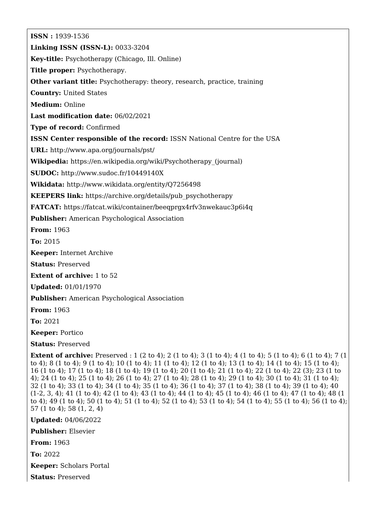**ISSN :** 1939-1536 **Linking ISSN (ISSN-L):** 0033-3204 **Key-title:** Psychotherapy (Chicago, Ill. Online) **Title proper:** Psychotherapy. **Other variant title:** Psychotherapy: theory, research, practice, training **Country:** United States **Medium:** Online **Last modification date:** 06/02/2021 **Type of record:** Confirmed **ISSN Center responsible of the record:** ISSN National Centre for the USA **URL:** <http://www.apa.org/journals/pst/> **Wikipedia:** [https://en.wikipedia.org/wiki/Psychotherapy\\_\(journal\)](https://en.wikipedia.org/wiki/Psychotherapy_(journal)) **SUDOC:** <http://www.sudoc.fr/10449140X> **Wikidata:** <http://www.wikidata.org/entity/Q7256498> **KEEPERS link:** [https://archive.org/details/pub\\_psychotherapy](https://archive.org/details/pub_psychotherapy) **FATCAT:** <https://fatcat.wiki/container/beeqprgx4rfv3nwekauc3p6i4q> **Publisher:** American Psychological Association **From:** 1963 **To:** 2015 **Keeper:** Internet Archive **Status:** Preserved **Extent of archive:** 1 to 52 **Updated:** 01/01/1970 **Publisher:** American Psychological Association **From:** 1963 **To:** 2021 **Keeper:** Portico **Status:** Preserved **Extent of archive:** Preserved : 1 (2 to 4); 2 (1 to 4); 3 (1 to 4); 4 (1 to 4); 5 (1 to 4); 6 (1 to 4); 7 (1 to 4); 8 (1 to 4); 9 (1 to 4); 10 (1 to 4); 11 (1 to 4); 12 (1 to 4); 13 (1 to 4); 14 (1 to 4); 15 (1 to 4); 16 (1 to 4); 17 (1 to 4); 18 (1 to 4); 19 (1 to 4); 20 (1 to 4); 21 (1 to 4); 22 (1 to 4); 22 (3); 23 (1 to 4); 24 (1 to 4); 25 (1 to 4); 26 (1 to 4); 27 (1 to 4); 28 (1 to 4); 29 (1 to 4); 30 (1 to 4); 31 (1 to 4); 32 (1 to 4); 33 (1 to 4); 34 (1 to 4); 35 (1 to 4); 36 (1 to 4); 37 (1 to 4); 38 (1 to 4); 39 (1 to 4); 40 (1-2, 3, 4); 41 (1 to 4); 42 (1 to 4); 43 (1 to 4); 44 (1 to 4); 45 (1 to 4); 46 (1 to 4); 47 (1 to 4); 48 (1 to 4); 49 (1 to 4); 50 (1 to 4); 51 (1 to 4); 52 (1 to 4); 53 (1 to 4); 54 (1 to 4); 55 (1 to 4); 56 (1 to 4); 57 (1 to 4); 58 (1, 2, 4) **Updated:** 04/06/2022 **Publisher:** Elsevier

**From:** 1963

**To:** 2022

**Keeper:** Scholars Portal

**Status:** Preserved